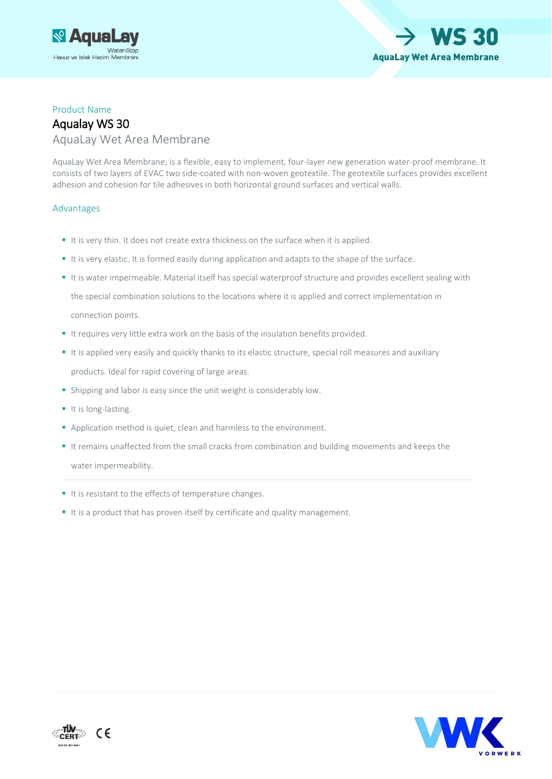



#### Product Name

### Aqualay WS 30 AquaLay Wet Area Membrane

AquaLay Wet Area Membrane, is a flexible, easy to implement, four-layer new generation water-proof membrane. It consists of two layers of EVAC two side-coated with non-woven geotextile. The geotextile surfaces provides excellent adhesion and cohesion for tile adhesives in both horizontal ground surfaces and vertical walls.

#### Advantages

- It is very thin. It does not create extra thickness on the surface when it is applied.
- It is very elastic. It is formed easily during application and adapts to the shape of the surface.
- It is water impermeable. Material itself has special waterproof structure and provides excellent sealing with the special combination solutions to the locations where it is applied and correct implementation in connection points.
- It requires very little extra work on the basis of the insulation benefits provided.
- It is applied very easily and quickly thanks to its elastic structure, special roll measures and auxiliary products. Ideal for rapid covering of large areas.
- Shipping and labor is easy since the unit weight is considerably low.
- It is long-lasting.
- Application method is quiet, clean and harmless to the environment.
- It remains unaffected from the small cracks from combination and building movements and keeps the water impermeability.
- It is resistant to the effects of temperature changes.
- It is a product that has proven itself by certificate and quality management.



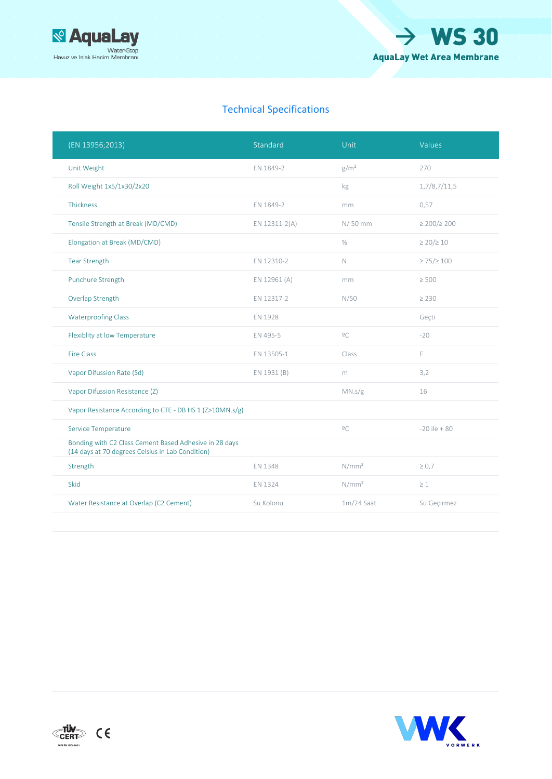



### Technical Specifications

| (EN 13956;2013)                                                                                            | Standard      | Unit              | Values                 |
|------------------------------------------------------------------------------------------------------------|---------------|-------------------|------------------------|
| Unit Weight                                                                                                | EN 1849-2     | g/m <sup>2</sup>  | 270                    |
| Roll Weight 1x5/1x30/2x20                                                                                  |               | kg                | 1,7/8,7/11,5           |
| Thickness                                                                                                  | EN 1849-2     | mm                | 0,57                   |
| Tensile Strength at Break (MD/CMD)                                                                         | EN 12311-2(A) | N/50 mm           | $\geq$ 200/ $\geq$ 200 |
| Elongation at Break (MD/CMD)                                                                               |               | $\%$              | $\geq$ 20/ $\geq$ 10   |
| <b>Tear Strength</b>                                                                                       | EN 12310-2    | $\mathbb N$       | $\geq$ 75/ $\geq$ 100  |
| Punchure Strength                                                                                          | EN 12961 (A)  | mm                | $\geq 500$             |
| Overlap Strength                                                                                           | EN 12317-2    | N/50              | $\geq 230$             |
| <b>Waterproofing Class</b>                                                                                 | EN 1928       |                   | Geçti                  |
| Flexiblity at low Temperature                                                                              | EN 495-5      | $\overline{0}C$   | $-20$                  |
| <b>Fire Class</b>                                                                                          | EN 13505-1    | Class             | E                      |
| Vapor Difussion Rate (Sd)                                                                                  | EN 1931 (B)   | m                 | 3,2                    |
| Vapor Difussion Resistance (Z)                                                                             |               | MN.s/g            | 16                     |
| Vapor Resistance According to CTE - DB HS 1 (Z>10MN.s/g)                                                   |               |                   |                        |
| Service Temperature                                                                                        |               | 2C                | $-20$ ile $+80$        |
| Bonding with C2 Class Cement Based Adhesive in 28 days<br>(14 days at 70 degrees Celsius in Lab Condition) |               |                   |                        |
| Strength                                                                                                   | EN 1348       | N/mm <sup>2</sup> | $\geq 0.7$             |
| Skid                                                                                                       | EN 1324       | N/mm <sup>2</sup> | $\geq 1$               |
| Water Resistance at Overlap (C2 Cement)                                                                    | Su Kolonu     | $1m/24$ Saat      | Su Geçirmez            |
|                                                                                                            |               |                   |                        |